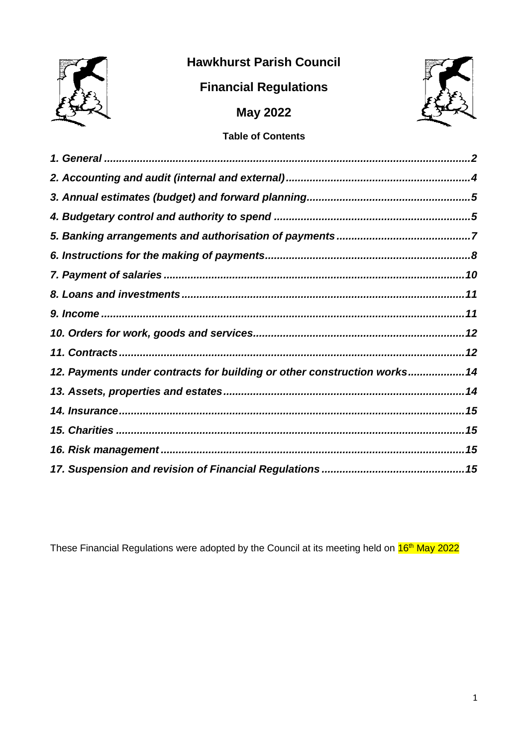

# **Hawkhurst Parish Council**

# **Financial Regulations**



# **May 2022**

## **Table of Contents**

| 12. Payments under contracts for building or other construction works 14 |
|--------------------------------------------------------------------------|
|                                                                          |
|                                                                          |
|                                                                          |
|                                                                          |
|                                                                          |
|                                                                          |

These Financial Regulations were adopted by the Council at its meeting held on  $16th$  May 2022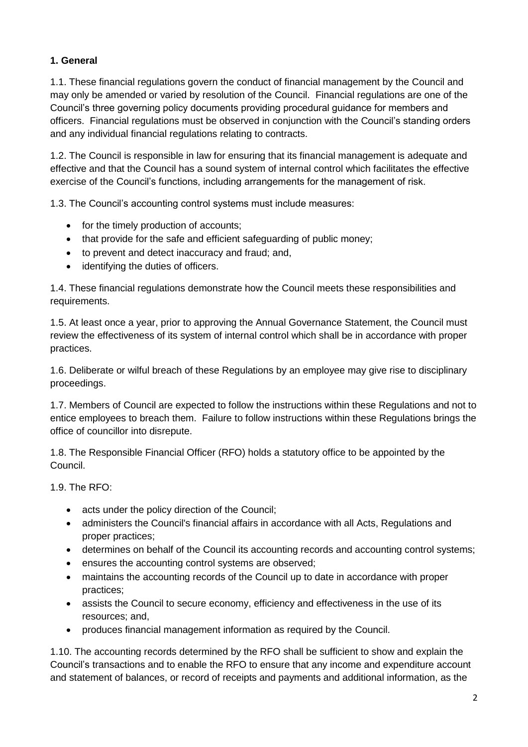### <span id="page-1-0"></span>**1. General**

1.1. These financial regulations govern the conduct of financial management by the Council and may only be amended or varied by resolution of the Council. Financial regulations are one of the Council's three governing policy documents providing procedural guidance for members and officers. Financial regulations must be observed in conjunction with the Council's standing orders and any individual financial regulations relating to contracts.

1.2. The Council is responsible in law for ensuring that its financial management is adequate and effective and that the Council has a sound system of internal control which facilitates the effective exercise of the Council's functions, including arrangements for the management of risk.

1.3. The Council's accounting control systems must include measures:

- for the timely production of accounts;
- that provide for the safe and efficient safeguarding of public money;
- to prevent and detect inaccuracy and fraud; and,
- identifying the duties of officers.

1.4. These financial regulations demonstrate how the Council meets these responsibilities and requirements.

1.5. At least once a year, prior to approving the Annual Governance Statement, the Council must review the effectiveness of its system of internal control which shall be in accordance with proper practices.

1.6. Deliberate or wilful breach of these Regulations by an employee may give rise to disciplinary proceedings.

1.7. Members of Council are expected to follow the instructions within these Regulations and not to entice employees to breach them. Failure to follow instructions within these Regulations brings the office of councillor into disrepute.

1.8. The Responsible Financial Officer (RFO) holds a statutory office to be appointed by the Council.

1.9. The RFO:

- acts under the policy direction of the Council;
- administers the Council's financial affairs in accordance with all Acts, Regulations and proper practices;
- determines on behalf of the Council its accounting records and accounting control systems;
- ensures the accounting control systems are observed;
- maintains the accounting records of the Council up to date in accordance with proper practices;
- assists the Council to secure economy, efficiency and effectiveness in the use of its resources; and,
- produces financial management information as required by the Council.

1.10. The accounting records determined by the RFO shall be sufficient to show and explain the Council's transactions and to enable the RFO to ensure that any income and expenditure account and statement of balances, or record of receipts and payments and additional information, as the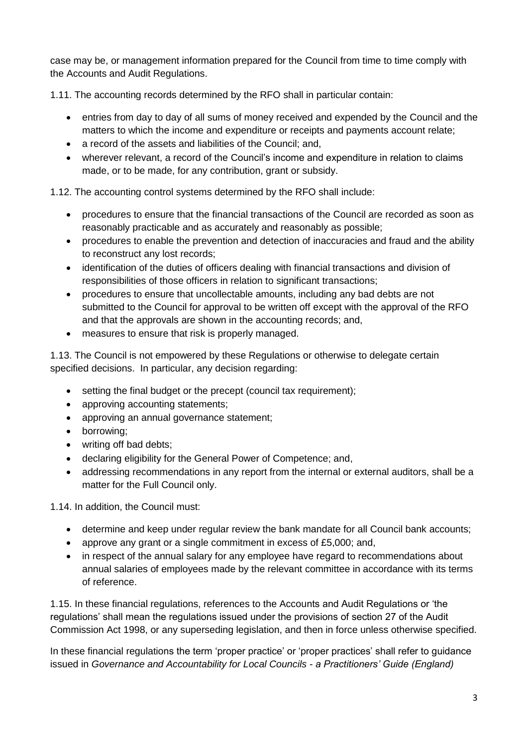case may be, or management information prepared for the Council from time to time comply with the Accounts and Audit Regulations.

1.11. The accounting records determined by the RFO shall in particular contain:

- entries from day to day of all sums of money received and expended by the Council and the matters to which the income and expenditure or receipts and payments account relate;
- a record of the assets and liabilities of the Council: and,
- wherever relevant, a record of the Council's income and expenditure in relation to claims made, or to be made, for any contribution, grant or subsidy.

1.12. The accounting control systems determined by the RFO shall include:

- procedures to ensure that the financial transactions of the Council are recorded as soon as reasonably practicable and as accurately and reasonably as possible;
- procedures to enable the prevention and detection of inaccuracies and fraud and the ability to reconstruct any lost records;
- identification of the duties of officers dealing with financial transactions and division of responsibilities of those officers in relation to significant transactions;
- procedures to ensure that uncollectable amounts, including any bad debts are not submitted to the Council for approval to be written off except with the approval of the RFO and that the approvals are shown in the accounting records; and,
- measures to ensure that risk is properly managed.

1.13. The Council is not empowered by these Regulations or otherwise to delegate certain specified decisions. In particular, any decision regarding:

- setting the final budget or the precept (council tax requirement);
- approving accounting statements;
- approving an annual governance statement;
- borrowing;
- writing off bad debts;
- declaring eligibility for the General Power of Competence; and,
- addressing recommendations in any report from the internal or external auditors, shall be a matter for the Full Council only.

1.14. In addition, the Council must:

- determine and keep under regular review the bank mandate for all Council bank accounts;
- approve any grant or a single commitment in excess of £5,000; and,
- in respect of the annual salary for any employee have regard to recommendations about annual salaries of employees made by the relevant committee in accordance with its terms of reference.

1.15. In these financial regulations, references to the Accounts and Audit Regulations or 'the regulations' shall mean the regulations issued under the provisions of section 27 of the Audit Commission Act 1998, or any superseding legislation, and then in force unless otherwise specified.

In these financial regulations the term 'proper practice' or 'proper practices' shall refer to guidance issued in *Governance and Accountability for Local Councils - a Practitioners' Guide (England)*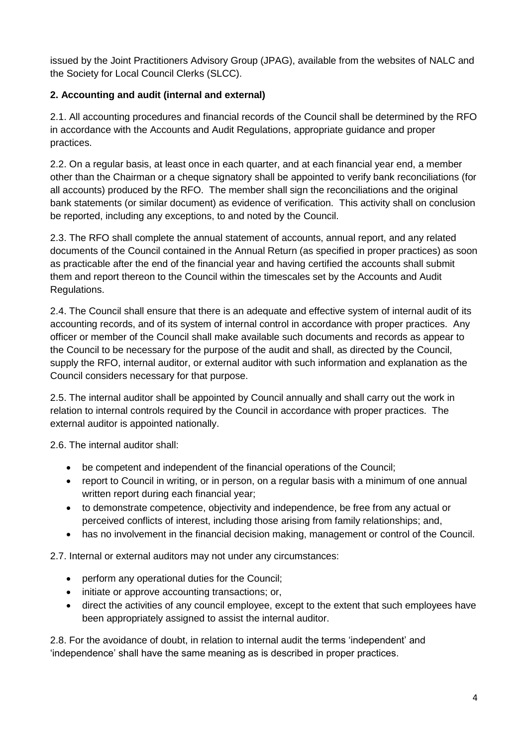issued by the Joint Practitioners Advisory Group (JPAG), available from the websites of NALC and the Society for Local Council Clerks (SLCC).

### <span id="page-3-0"></span>**2. Accounting and audit (internal and external)**

2.1. All accounting procedures and financial records of the Council shall be determined by the RFO in accordance with the Accounts and Audit Regulations, appropriate guidance and proper practices.

2.2. On a regular basis, at least once in each quarter, and at each financial year end, a member other than the Chairman or a cheque signatory shall be appointed to verify bank reconciliations (for all accounts) produced by the RFO. The member shall sign the reconciliations and the original bank statements (or similar document) as evidence of verification. This activity shall on conclusion be reported, including any exceptions, to and noted by the Council.

2.3. The RFO shall complete the annual statement of accounts, annual report, and any related documents of the Council contained in the Annual Return (as specified in proper practices) as soon as practicable after the end of the financial year and having certified the accounts shall submit them and report thereon to the Council within the timescales set by the Accounts and Audit Regulations.

2.4. The Council shall ensure that there is an adequate and effective system of internal audit of its accounting records, and of its system of internal control in accordance with proper practices. Any officer or member of the Council shall make available such documents and records as appear to the Council to be necessary for the purpose of the audit and shall, as directed by the Council, supply the RFO, internal auditor, or external auditor with such information and explanation as the Council considers necessary for that purpose.

2.5. The internal auditor shall be appointed by Council annually and shall carry out the work in relation to internal controls required by the Council in accordance with proper practices. The external auditor is appointed nationally.

2.6. The internal auditor shall:

- be competent and independent of the financial operations of the Council;
- report to Council in writing, or in person, on a regular basis with a minimum of one annual written report during each financial year;
- to demonstrate competence, objectivity and independence, be free from any actual or perceived conflicts of interest, including those arising from family relationships; and,
- has no involvement in the financial decision making, management or control of the Council.

2.7. Internal or external auditors may not under any circumstances:

- perform any operational duties for the Council;
- initiate or approve accounting transactions; or,
- direct the activities of any council employee, except to the extent that such employees have been appropriately assigned to assist the internal auditor.

2.8. For the avoidance of doubt, in relation to internal audit the terms 'independent' and 'independence' shall have the same meaning as is described in proper practices.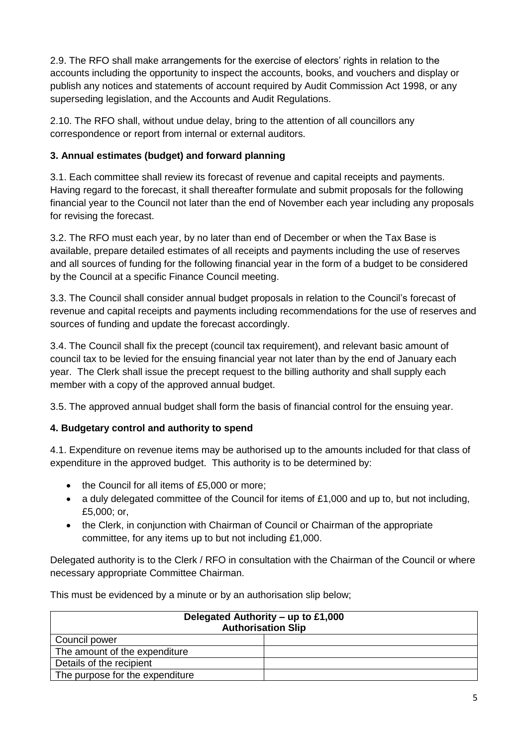2.9. The RFO shall make arrangements for the exercise of electors' rights in relation to the accounts including the opportunity to inspect the accounts, books, and vouchers and display or publish any notices and statements of account required by Audit Commission Act 1998, or any superseding legislation, and the Accounts and Audit Regulations.

2.10. The RFO shall, without undue delay, bring to the attention of all councillors any correspondence or report from internal or external auditors.

## <span id="page-4-0"></span>**3. Annual estimates (budget) and forward planning**

3.1. Each committee shall review its forecast of revenue and capital receipts and payments. Having regard to the forecast, it shall thereafter formulate and submit proposals for the following financial year to the Council not later than the end of November each year including any proposals for revising the forecast.

3.2. The RFO must each year, by no later than end of December or when the Tax Base is available, prepare detailed estimates of all receipts and payments including the use of reserves and all sources of funding for the following financial year in the form of a budget to be considered by the Council at a specific Finance Council meeting.

3.3. The Council shall consider annual budget proposals in relation to the Council's forecast of revenue and capital receipts and payments including recommendations for the use of reserves and sources of funding and update the forecast accordingly.

3.4. The Council shall fix the precept (council tax requirement), and relevant basic amount of council tax to be levied for the ensuing financial year not later than by the end of January each year. The Clerk shall issue the precept request to the billing authority and shall supply each member with a copy of the approved annual budget.

3.5. The approved annual budget shall form the basis of financial control for the ensuing year.

## <span id="page-4-1"></span>**4. Budgetary control and authority to spend**

4.1. Expenditure on revenue items may be authorised up to the amounts included for that class of expenditure in the approved budget. This authority is to be determined by:

- the Council for all items of £5,000 or more;
- a duly delegated committee of the Council for items of £1,000 and up to, but not including, £5,000; or,
- the Clerk, in conjunction with Chairman of Council or Chairman of the appropriate committee, for any items up to but not including £1,000.

Delegated authority is to the Clerk / RFO in consultation with the Chairman of the Council or where necessary appropriate Committee Chairman.

This must be evidenced by a minute or by an authorisation slip below;

| Delegated Authority – up to £1,000<br><b>Authorisation Slip</b> |  |  |
|-----------------------------------------------------------------|--|--|
| Council power                                                   |  |  |
| The amount of the expenditure                                   |  |  |
| Details of the recipient                                        |  |  |
| The purpose for the expenditure                                 |  |  |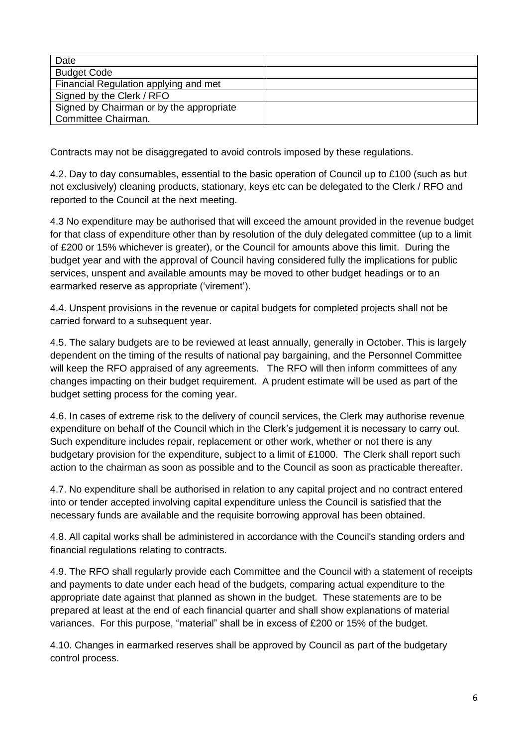| Date                                     |  |
|------------------------------------------|--|
| <b>Budget Code</b>                       |  |
| Financial Regulation applying and met    |  |
| Signed by the Clerk / RFO                |  |
| Signed by Chairman or by the appropriate |  |
| Committee Chairman.                      |  |

Contracts may not be disaggregated to avoid controls imposed by these regulations.

4.2. Day to day consumables, essential to the basic operation of Council up to £100 (such as but not exclusively) cleaning products, stationary, keys etc can be delegated to the Clerk / RFO and reported to the Council at the next meeting.

4.3 No expenditure may be authorised that will exceed the amount provided in the revenue budget for that class of expenditure other than by resolution of the duly delegated committee (up to a limit of £200 or 15% whichever is greater), or the Council for amounts above this limit. During the budget year and with the approval of Council having considered fully the implications for public services, unspent and available amounts may be moved to other budget headings or to an earmarked reserve as appropriate ('virement').

4.4. Unspent provisions in the revenue or capital budgets for completed projects shall not be carried forward to a subsequent year.

4.5. The salary budgets are to be reviewed at least annually, generally in October. This is largely dependent on the timing of the results of national pay bargaining, and the Personnel Committee will keep the RFO appraised of any agreements. The RFO will then inform committees of any changes impacting on their budget requirement. A prudent estimate will be used as part of the budget setting process for the coming year.

4.6. In cases of extreme risk to the delivery of council services, the Clerk may authorise revenue expenditure on behalf of the Council which in the Clerk's judgement it is necessary to carry out. Such expenditure includes repair, replacement or other work, whether or not there is any budgetary provision for the expenditure, subject to a limit of £1000. The Clerk shall report such action to the chairman as soon as possible and to the Council as soon as practicable thereafter.

4.7. No expenditure shall be authorised in relation to any capital project and no contract entered into or tender accepted involving capital expenditure unless the Council is satisfied that the necessary funds are available and the requisite borrowing approval has been obtained.

4.8. All capital works shall be administered in accordance with the Council's standing orders and financial regulations relating to contracts.

4.9. The RFO shall regularly provide each Committee and the Council with a statement of receipts and payments to date under each head of the budgets, comparing actual expenditure to the appropriate date against that planned as shown in the budget. These statements are to be prepared at least at the end of each financial quarter and shall show explanations of material variances. For this purpose, "material" shall be in excess of £200 or 15% of the budget.

4.10. Changes in earmarked reserves shall be approved by Council as part of the budgetary control process.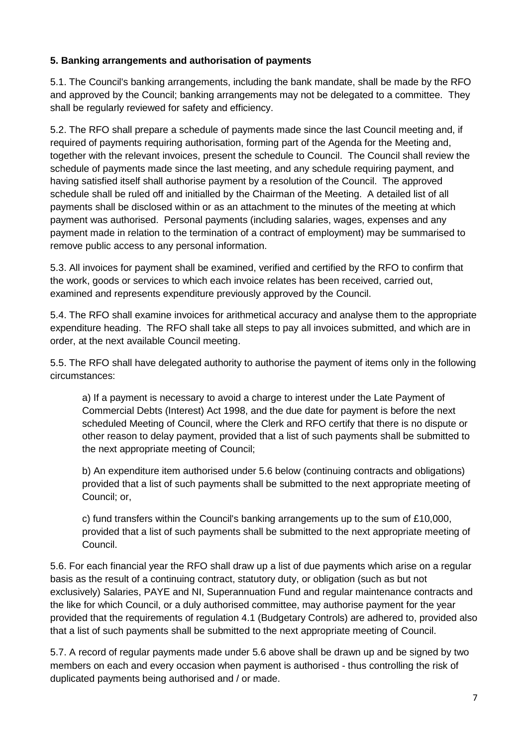#### <span id="page-6-0"></span>**5. Banking arrangements and authorisation of payments**

5.1. The Council's banking arrangements, including the bank mandate, shall be made by the RFO and approved by the Council; banking arrangements may not be delegated to a committee. They shall be regularly reviewed for safety and efficiency.

5.2. The RFO shall prepare a schedule of payments made since the last Council meeting and, if required of payments requiring authorisation, forming part of the Agenda for the Meeting and, together with the relevant invoices, present the schedule to Council. The Council shall review the schedule of payments made since the last meeting, and any schedule requiring payment, and having satisfied itself shall authorise payment by a resolution of the Council. The approved schedule shall be ruled off and initialled by the Chairman of the Meeting. A detailed list of all payments shall be disclosed within or as an attachment to the minutes of the meeting at which payment was authorised. Personal payments (including salaries, wages, expenses and any payment made in relation to the termination of a contract of employment) may be summarised to remove public access to any personal information.

5.3. All invoices for payment shall be examined, verified and certified by the RFO to confirm that the work, goods or services to which each invoice relates has been received, carried out, examined and represents expenditure previously approved by the Council.

5.4. The RFO shall examine invoices for arithmetical accuracy and analyse them to the appropriate expenditure heading. The RFO shall take all steps to pay all invoices submitted, and which are in order, at the next available Council meeting.

5.5. The RFO shall have delegated authority to authorise the payment of items only in the following circumstances:

a) If a payment is necessary to avoid a charge to interest under the Late Payment of Commercial Debts (Interest) Act 1998, and the due date for payment is before the next scheduled Meeting of Council, where the Clerk and RFO certify that there is no dispute or other reason to delay payment, provided that a list of such payments shall be submitted to the next appropriate meeting of Council;

b) An expenditure item authorised under 5.6 below (continuing contracts and obligations) provided that a list of such payments shall be submitted to the next appropriate meeting of Council; or,

c) fund transfers within the Council's banking arrangements up to the sum of £10,000, provided that a list of such payments shall be submitted to the next appropriate meeting of Council.

5.6. For each financial year the RFO shall draw up a list of due payments which arise on a regular basis as the result of a continuing contract, statutory duty, or obligation (such as but not exclusively) Salaries, PAYE and NI, Superannuation Fund and regular maintenance contracts and the like for which Council, or a duly authorised committee, may authorise payment for the year provided that the requirements of regulation 4.1 (Budgetary Controls) are adhered to, provided also that a list of such payments shall be submitted to the next appropriate meeting of Council.

5.7. A record of regular payments made under 5.6 above shall be drawn up and be signed by two members on each and every occasion when payment is authorised - thus controlling the risk of duplicated payments being authorised and / or made.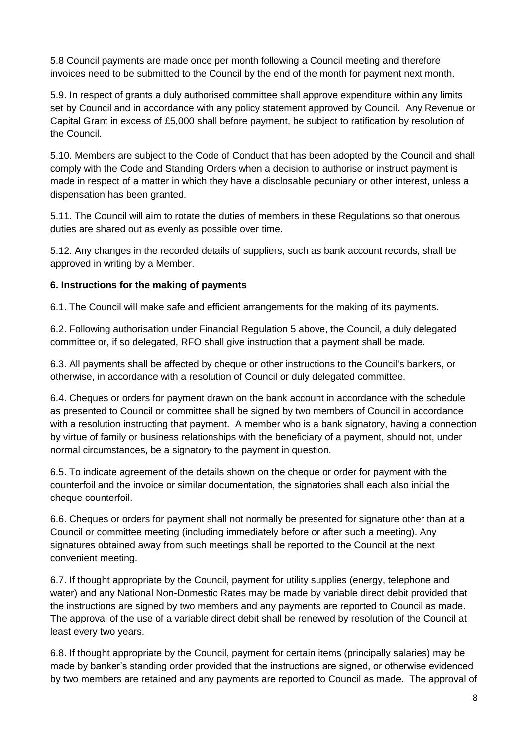5.8 Council payments are made once per month following a Council meeting and therefore invoices need to be submitted to the Council by the end of the month for payment next month.

5.9. In respect of grants a duly authorised committee shall approve expenditure within any limits set by Council and in accordance with any policy statement approved by Council. Any Revenue or Capital Grant in excess of £5,000 shall before payment, be subject to ratification by resolution of the Council.

5.10. Members are subject to the Code of Conduct that has been adopted by the Council and shall comply with the Code and Standing Orders when a decision to authorise or instruct payment is made in respect of a matter in which they have a disclosable pecuniary or other interest, unless a dispensation has been granted.

5.11. The Council will aim to rotate the duties of members in these Regulations so that onerous duties are shared out as evenly as possible over time.

5.12. Any changes in the recorded details of suppliers, such as bank account records, shall be approved in writing by a Member.

#### <span id="page-7-0"></span>**6. Instructions for the making of payments**

6.1. The Council will make safe and efficient arrangements for the making of its payments.

6.2. Following authorisation under Financial Regulation 5 above, the Council, a duly delegated committee or, if so delegated, RFO shall give instruction that a payment shall be made.

6.3. All payments shall be affected by cheque or other instructions to the Council's bankers, or otherwise, in accordance with a resolution of Council or duly delegated committee.

6.4. Cheques or orders for payment drawn on the bank account in accordance with the schedule as presented to Council or committee shall be signed by two members of Council in accordance with a resolution instructing that payment. A member who is a bank signatory, having a connection by virtue of family or business relationships with the beneficiary of a payment, should not, under normal circumstances, be a signatory to the payment in question.

6.5. To indicate agreement of the details shown on the cheque or order for payment with the counterfoil and the invoice or similar documentation, the signatories shall each also initial the cheque counterfoil.

6.6. Cheques or orders for payment shall not normally be presented for signature other than at a Council or committee meeting (including immediately before or after such a meeting). Any signatures obtained away from such meetings shall be reported to the Council at the next convenient meeting.

6.7. If thought appropriate by the Council, payment for utility supplies (energy, telephone and water) and any National Non-Domestic Rates may be made by variable direct debit provided that the instructions are signed by two members and any payments are reported to Council as made. The approval of the use of a variable direct debit shall be renewed by resolution of the Council at least every two years.

6.8. If thought appropriate by the Council, payment for certain items (principally salaries) may be made by banker's standing order provided that the instructions are signed, or otherwise evidenced by two members are retained and any payments are reported to Council as made. The approval of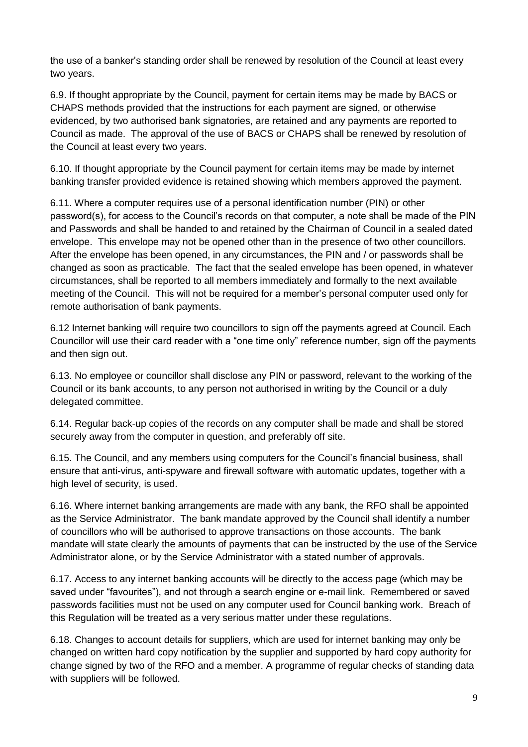the use of a banker's standing order shall be renewed by resolution of the Council at least every two years.

6.9. If thought appropriate by the Council, payment for certain items may be made by BACS or CHAPS methods provided that the instructions for each payment are signed, or otherwise evidenced, by two authorised bank signatories, are retained and any payments are reported to Council as made. The approval of the use of BACS or CHAPS shall be renewed by resolution of the Council at least every two years.

6.10. If thought appropriate by the Council payment for certain items may be made by internet banking transfer provided evidence is retained showing which members approved the payment.

6.11. Where a computer requires use of a personal identification number (PIN) or other password(s), for access to the Council's records on that computer, a note shall be made of the PIN and Passwords and shall be handed to and retained by the Chairman of Council in a sealed dated envelope. This envelope may not be opened other than in the presence of two other councillors. After the envelope has been opened, in any circumstances, the PIN and / or passwords shall be changed as soon as practicable. The fact that the sealed envelope has been opened, in whatever circumstances, shall be reported to all members immediately and formally to the next available meeting of the Council. This will not be required for a member's personal computer used only for remote authorisation of bank payments.

6.12 Internet banking will require two councillors to sign off the payments agreed at Council. Each Councillor will use their card reader with a "one time only" reference number, sign off the payments and then sign out.

6.13. No employee or councillor shall disclose any PIN or password, relevant to the working of the Council or its bank accounts, to any person not authorised in writing by the Council or a duly delegated committee.

6.14. Regular back-up copies of the records on any computer shall be made and shall be stored securely away from the computer in question, and preferably off site.

6.15. The Council, and any members using computers for the Council's financial business, shall ensure that anti-virus, anti-spyware and firewall software with automatic updates, together with a high level of security, is used.

6.16. Where internet banking arrangements are made with any bank, the RFO shall be appointed as the Service Administrator. The bank mandate approved by the Council shall identify a number of councillors who will be authorised to approve transactions on those accounts. The bank mandate will state clearly the amounts of payments that can be instructed by the use of the Service Administrator alone, or by the Service Administrator with a stated number of approvals.

6.17. Access to any internet banking accounts will be directly to the access page (which may be saved under "favourites"), and not through a search engine or e-mail link. Remembered or saved passwords facilities must not be used on any computer used for Council banking work. Breach of this Regulation will be treated as a very serious matter under these regulations.

6.18. Changes to account details for suppliers, which are used for internet banking may only be changed on written hard copy notification by the supplier and supported by hard copy authority for change signed by two of the RFO and a member. A programme of regular checks of standing data with suppliers will be followed.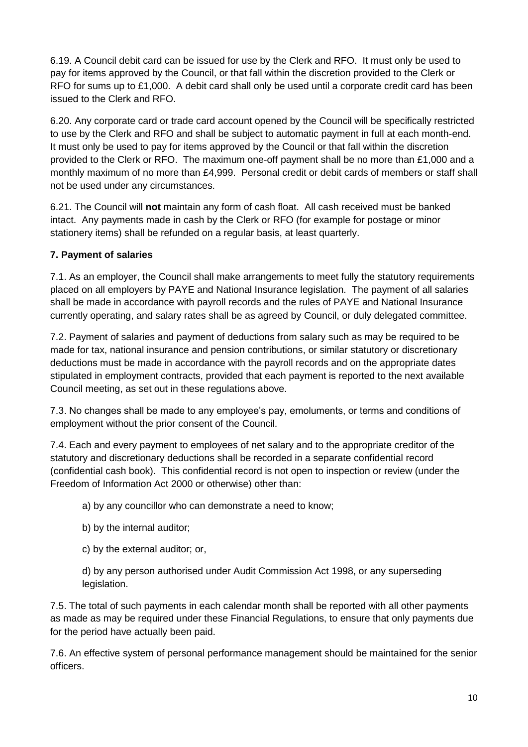6.19. A Council debit card can be issued for use by the Clerk and RFO. It must only be used to pay for items approved by the Council, or that fall within the discretion provided to the Clerk or RFO for sums up to £1,000. A debit card shall only be used until a corporate credit card has been issued to the Clerk and RFO.

6.20. Any corporate card or trade card account opened by the Council will be specifically restricted to use by the Clerk and RFO and shall be subject to automatic payment in full at each month-end. It must only be used to pay for items approved by the Council or that fall within the discretion provided to the Clerk or RFO. The maximum one-off payment shall be no more than £1,000 and a monthly maximum of no more than £4,999. Personal credit or debit cards of members or staff shall not be used under any circumstances.

6.21. The Council will **not** maintain any form of cash float. All cash received must be banked intact. Any payments made in cash by the Clerk or RFO (for example for postage or minor stationery items) shall be refunded on a regular basis, at least quarterly.

#### <span id="page-9-0"></span>**7. Payment of salaries**

7.1. As an employer, the Council shall make arrangements to meet fully the statutory requirements placed on all employers by PAYE and National Insurance legislation. The payment of all salaries shall be made in accordance with payroll records and the rules of PAYE and National Insurance currently operating, and salary rates shall be as agreed by Council, or duly delegated committee.

7.2. Payment of salaries and payment of deductions from salary such as may be required to be made for tax, national insurance and pension contributions, or similar statutory or discretionary deductions must be made in accordance with the payroll records and on the appropriate dates stipulated in employment contracts, provided that each payment is reported to the next available Council meeting, as set out in these regulations above.

7.3. No changes shall be made to any employee's pay, emoluments, or terms and conditions of employment without the prior consent of the Council.

7.4. Each and every payment to employees of net salary and to the appropriate creditor of the statutory and discretionary deductions shall be recorded in a separate confidential record (confidential cash book). This confidential record is not open to inspection or review (under the Freedom of Information Act 2000 or otherwise) other than:

a) by any councillor who can demonstrate a need to know;

- b) by the internal auditor;
- c) by the external auditor; or,

d) by any person authorised under Audit Commission Act 1998, or any superseding legislation.

7.5. The total of such payments in each calendar month shall be reported with all other payments as made as may be required under these Financial Regulations, to ensure that only payments due for the period have actually been paid.

7.6. An effective system of personal performance management should be maintained for the senior officers.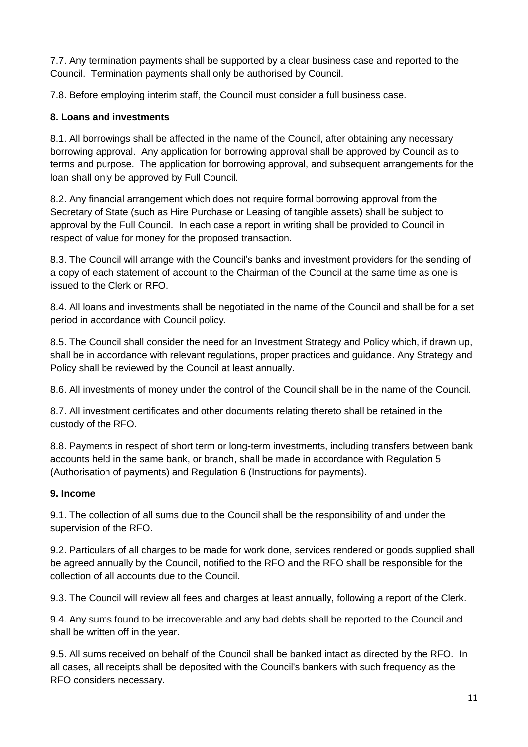7.7. Any termination payments shall be supported by a clear business case and reported to the Council. Termination payments shall only be authorised by Council.

7.8. Before employing interim staff, the Council must consider a full business case.

#### <span id="page-10-0"></span>**8. Loans and investments**

8.1. All borrowings shall be affected in the name of the Council, after obtaining any necessary borrowing approval. Any application for borrowing approval shall be approved by Council as to terms and purpose. The application for borrowing approval, and subsequent arrangements for the loan shall only be approved by Full Council.

8.2. Any financial arrangement which does not require formal borrowing approval from the Secretary of State (such as Hire Purchase or Leasing of tangible assets) shall be subject to approval by the Full Council. In each case a report in writing shall be provided to Council in respect of value for money for the proposed transaction.

8.3. The Council will arrange with the Council's banks and investment providers for the sending of a copy of each statement of account to the Chairman of the Council at the same time as one is issued to the Clerk or RFO.

8.4. All loans and investments shall be negotiated in the name of the Council and shall be for a set period in accordance with Council policy.

8.5. The Council shall consider the need for an Investment Strategy and Policy which, if drawn up, shall be in accordance with relevant regulations, proper practices and guidance. Any Strategy and Policy shall be reviewed by the Council at least annually.

8.6. All investments of money under the control of the Council shall be in the name of the Council.

8.7. All investment certificates and other documents relating thereto shall be retained in the custody of the RFO.

8.8. Payments in respect of short term or long-term investments, including transfers between bank accounts held in the same bank, or branch, shall be made in accordance with Regulation 5 (Authorisation of payments) and Regulation 6 (Instructions for payments).

#### <span id="page-10-1"></span>**9. Income**

9.1. The collection of all sums due to the Council shall be the responsibility of and under the supervision of the RFO.

9.2. Particulars of all charges to be made for work done, services rendered or goods supplied shall be agreed annually by the Council, notified to the RFO and the RFO shall be responsible for the collection of all accounts due to the Council.

9.3. The Council will review all fees and charges at least annually, following a report of the Clerk.

9.4. Any sums found to be irrecoverable and any bad debts shall be reported to the Council and shall be written off in the year.

9.5. All sums received on behalf of the Council shall be banked intact as directed by the RFO. In all cases, all receipts shall be deposited with the Council's bankers with such frequency as the RFO considers necessary.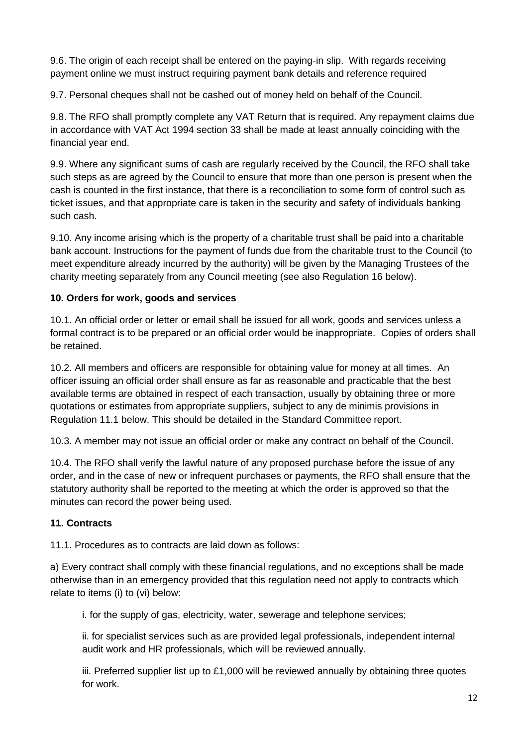9.6. The origin of each receipt shall be entered on the paying-in slip. With regards receiving payment online we must instruct requiring payment bank details and reference required

9.7. Personal cheques shall not be cashed out of money held on behalf of the Council.

9.8. The RFO shall promptly complete any VAT Return that is required. Any repayment claims due in accordance with VAT Act 1994 section 33 shall be made at least annually coinciding with the financial year end.

9.9. Where any significant sums of cash are regularly received by the Council, the RFO shall take such steps as are agreed by the Council to ensure that more than one person is present when the cash is counted in the first instance, that there is a reconciliation to some form of control such as ticket issues, and that appropriate care is taken in the security and safety of individuals banking such cash.

9.10. Any income arising which is the property of a charitable trust shall be paid into a charitable bank account. Instructions for the payment of funds due from the charitable trust to the Council (to meet expenditure already incurred by the authority) will be given by the Managing Trustees of the charity meeting separately from any Council meeting (see also Regulation 16 below).

### <span id="page-11-0"></span>**10. Orders for work, goods and services**

10.1. An official order or letter or email shall be issued for all work, goods and services unless a formal contract is to be prepared or an official order would be inappropriate. Copies of orders shall be retained.

10.2. All members and officers are responsible for obtaining value for money at all times. An officer issuing an official order shall ensure as far as reasonable and practicable that the best available terms are obtained in respect of each transaction, usually by obtaining three or more quotations or estimates from appropriate suppliers, subject to any de minimis provisions in Regulation 11.1 below. This should be detailed in the Standard Committee report.

10.3. A member may not issue an official order or make any contract on behalf of the Council.

10.4. The RFO shall verify the lawful nature of any proposed purchase before the issue of any order, and in the case of new or infrequent purchases or payments, the RFO shall ensure that the statutory authority shall be reported to the meeting at which the order is approved so that the minutes can record the power being used.

### <span id="page-11-1"></span>**11. Contracts**

11.1. Procedures as to contracts are laid down as follows:

a) Every contract shall comply with these financial regulations, and no exceptions shall be made otherwise than in an emergency provided that this regulation need not apply to contracts which relate to items (i) to (vi) below:

i. for the supply of gas, electricity, water, sewerage and telephone services;

ii. for specialist services such as are provided legal professionals, independent internal audit work and HR professionals, which will be reviewed annually.

iii. Preferred supplier list up to £1,000 will be reviewed annually by obtaining three quotes for work.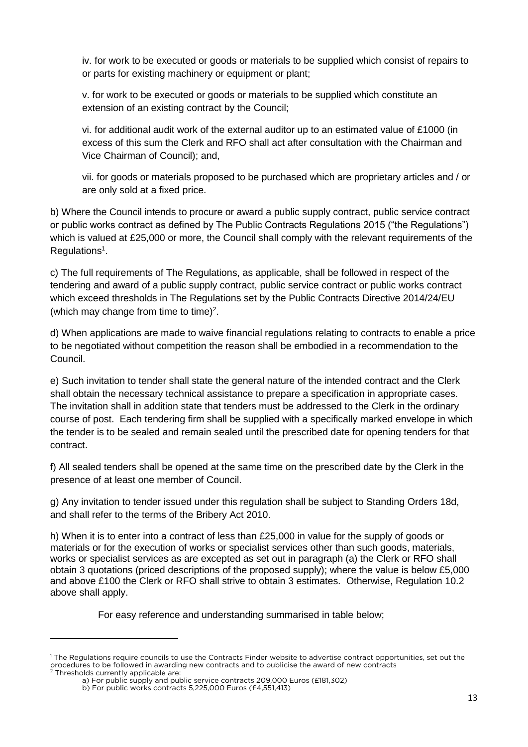iv. for work to be executed or goods or materials to be supplied which consist of repairs to or parts for existing machinery or equipment or plant;

v. for work to be executed or goods or materials to be supplied which constitute an extension of an existing contract by the Council;

vi. for additional audit work of the external auditor up to an estimated value of £1000 (in excess of this sum the Clerk and RFO shall act after consultation with the Chairman and Vice Chairman of Council); and,

vii. for goods or materials proposed to be purchased which are proprietary articles and / or are only sold at a fixed price.

b) Where the Council intends to procure or award a public supply contract, public service contract or public works contract as defined by The Public Contracts Regulations 2015 ("the Regulations") which is valued at £25,000 or more, the Council shall comply with the relevant requirements of the Regulations<sup>1</sup>.

c) The full requirements of The Regulations, as applicable, shall be followed in respect of the tendering and award of a public supply contract, public service contract or public works contract which exceed thresholds in The Regulations set by the Public Contracts Directive 2014/24/EU (which may change from time to time) $^2$ .

d) When applications are made to waive financial regulations relating to contracts to enable a price to be negotiated without competition the reason shall be embodied in a recommendation to the Council.

e) Such invitation to tender shall state the general nature of the intended contract and the Clerk shall obtain the necessary technical assistance to prepare a specification in appropriate cases. The invitation shall in addition state that tenders must be addressed to the Clerk in the ordinary course of post. Each tendering firm shall be supplied with a specifically marked envelope in which the tender is to be sealed and remain sealed until the prescribed date for opening tenders for that contract.

f) All sealed tenders shall be opened at the same time on the prescribed date by the Clerk in the presence of at least one member of Council.

g) Any invitation to tender issued under this regulation shall be subject to Standing Orders 18d, and shall refer to the terms of the Bribery Act 2010.

h) When it is to enter into a contract of less than £25,000 in value for the supply of goods or materials or for the execution of works or specialist services other than such goods, materials, works or specialist services as are excepted as set out in paragraph (a) the Clerk or RFO shall obtain 3 quotations (priced descriptions of the proposed supply); where the value is below £5,000 and above £100 the Clerk or RFO shall strive to obtain 3 estimates. Otherwise, Regulation 10.2 above shall apply.

For easy reference and understanding summarised in table below;

1

<sup>&</sup>lt;sup>1</sup> The Regulations require councils to use the Contracts Finder website to advertise contract opportunities, set out the procedures to be followed in awarding new contracts and to publicise the award of new contracts Thresholds currently applicable are:

a) For public supply and public service contracts 209,000 Euros (£181,302)

b) For public works contracts 5,225,000 Euros (£4,551,413)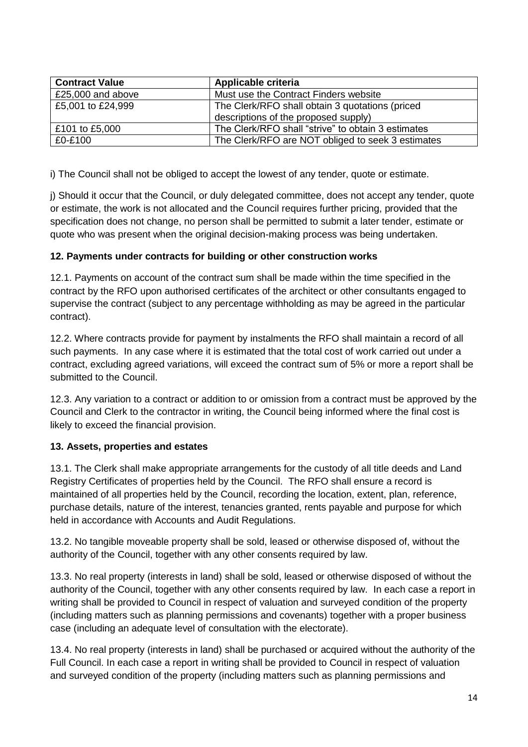| <b>Contract Value</b> | Applicable criteria                                |
|-----------------------|----------------------------------------------------|
| £25,000 and above     | Must use the Contract Finders website              |
| £5,001 to £24,999     | The Clerk/RFO shall obtain 3 quotations (priced    |
|                       | descriptions of the proposed supply)               |
| £101 to £5,000        | The Clerk/RFO shall "strive" to obtain 3 estimates |
| £0-£100               | The Clerk/RFO are NOT obliged to seek 3 estimates  |

i) The Council shall not be obliged to accept the lowest of any tender, quote or estimate.

j) Should it occur that the Council, or duly delegated committee, does not accept any tender, quote or estimate, the work is not allocated and the Council requires further pricing, provided that the specification does not change, no person shall be permitted to submit a later tender, estimate or quote who was present when the original decision-making process was being undertaken.

#### <span id="page-13-0"></span>**12. Payments under contracts for building or other construction works**

12.1. Payments on account of the contract sum shall be made within the time specified in the contract by the RFO upon authorised certificates of the architect or other consultants engaged to supervise the contract (subject to any percentage withholding as may be agreed in the particular contract).

12.2. Where contracts provide for payment by instalments the RFO shall maintain a record of all such payments. In any case where it is estimated that the total cost of work carried out under a contract, excluding agreed variations, will exceed the contract sum of 5% or more a report shall be submitted to the Council.

12.3. Any variation to a contract or addition to or omission from a contract must be approved by the Council and Clerk to the contractor in writing, the Council being informed where the final cost is likely to exceed the financial provision.

#### <span id="page-13-1"></span>**13. Assets, properties and estates**

13.1. The Clerk shall make appropriate arrangements for the custody of all title deeds and Land Registry Certificates of properties held by the Council. The RFO shall ensure a record is maintained of all properties held by the Council, recording the location, extent, plan, reference, purchase details, nature of the interest, tenancies granted, rents payable and purpose for which held in accordance with Accounts and Audit Regulations.

13.2. No tangible moveable property shall be sold, leased or otherwise disposed of, without the authority of the Council, together with any other consents required by law.

13.3. No real property (interests in land) shall be sold, leased or otherwise disposed of without the authority of the Council, together with any other consents required by law. In each case a report in writing shall be provided to Council in respect of valuation and surveyed condition of the property (including matters such as planning permissions and covenants) together with a proper business case (including an adequate level of consultation with the electorate).

13.4. No real property (interests in land) shall be purchased or acquired without the authority of the Full Council. In each case a report in writing shall be provided to Council in respect of valuation and surveyed condition of the property (including matters such as planning permissions and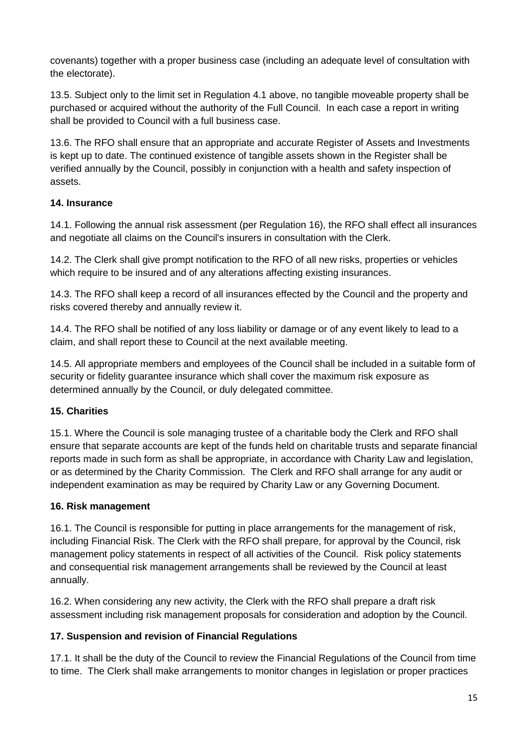covenants) together with a proper business case (including an adequate level of consultation with the electorate).

13.5. Subject only to the limit set in Regulation 4.1 above, no tangible moveable property shall be purchased or acquired without the authority of the Full Council. In each case a report in writing shall be provided to Council with a full business case.

13.6. The RFO shall ensure that an appropriate and accurate Register of Assets and Investments is kept up to date. The continued existence of tangible assets shown in the Register shall be verified annually by the Council, possibly in conjunction with a health and safety inspection of assets.

### <span id="page-14-0"></span>**14. Insurance**

14.1. Following the annual risk assessment (per Regulation 16), the RFO shall effect all insurances and negotiate all claims on the Council's insurers in consultation with the Clerk.

14.2. The Clerk shall give prompt notification to the RFO of all new risks, properties or vehicles which require to be insured and of any alterations affecting existing insurances.

14.3. The RFO shall keep a record of all insurances effected by the Council and the property and risks covered thereby and annually review it.

14.4. The RFO shall be notified of any loss liability or damage or of any event likely to lead to a claim, and shall report these to Council at the next available meeting.

14.5. All appropriate members and employees of the Council shall be included in a suitable form of security or fidelity guarantee insurance which shall cover the maximum risk exposure as determined annually by the Council, or duly delegated committee.

### <span id="page-14-1"></span>**15. Charities**

15.1. Where the Council is sole managing trustee of a charitable body the Clerk and RFO shall ensure that separate accounts are kept of the funds held on charitable trusts and separate financial reports made in such form as shall be appropriate, in accordance with Charity Law and legislation, or as determined by the Charity Commission. The Clerk and RFO shall arrange for any audit or independent examination as may be required by Charity Law or any Governing Document.

### <span id="page-14-2"></span>**16. Risk management**

16.1. The Council is responsible for putting in place arrangements for the management of risk, including Financial Risk. The Clerk with the RFO shall prepare, for approval by the Council, risk management policy statements in respect of all activities of the Council. Risk policy statements and consequential risk management arrangements shall be reviewed by the Council at least annually.

16.2. When considering any new activity, the Clerk with the RFO shall prepare a draft risk assessment including risk management proposals for consideration and adoption by the Council.

### <span id="page-14-3"></span>**17. Suspension and revision of Financial Regulations**

17.1. It shall be the duty of the Council to review the Financial Regulations of the Council from time to time. The Clerk shall make arrangements to monitor changes in legislation or proper practices